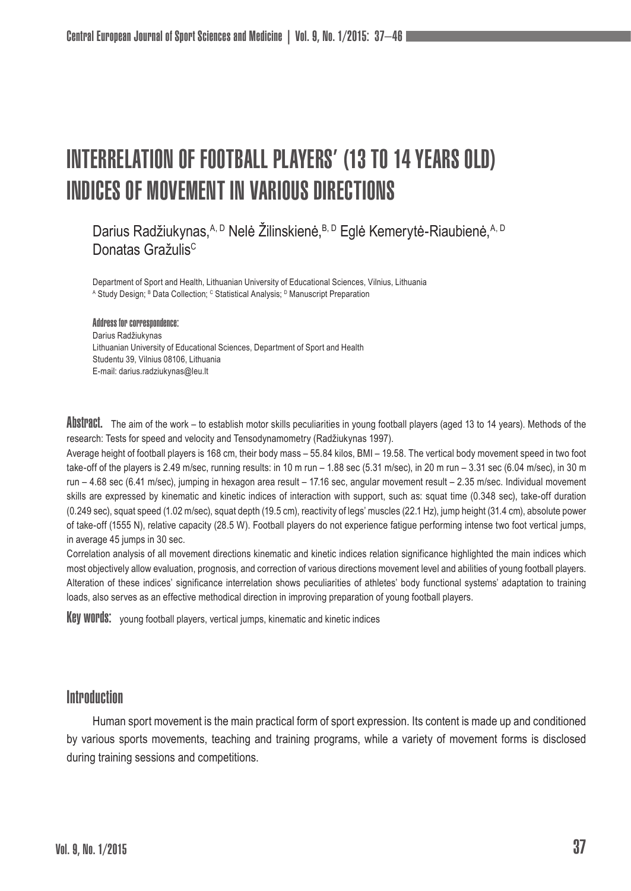# Interrelation of Football Players' (13 to 14 Years Old) Indices of Movement in Various Directions

Darius Radžiukynas, A, D Nelė Žilinskienė, B, D Eglė Kemerytė-Riaubienė, A, D Donatas Gražulis<sup>c</sup>

Department of Sport and Health, Lithuanian University of Educational Sciences, Vilnius, Lithuania A Study Design; <sup>в</sup> Data Collection; <sup>с</sup> Statistical Analysis; <sup>в</sup> Manuscript Preparation

#### Address for correspondence:

Darius Radžiukynas Lithuanian University of Educational Sciences, Department of Sport and Health Studentu 39, Vilnius 08106, Lithuania E-mail: darius.radziukynas@leu.lt

Alistract. The aim of the work – to establish motor skills peculiarities in young football players (aged 13 to 14 years). Methods of the research: Tests for speed and velocity and Tensodynamometry (Radžiukynas 1997).

Average height of football players is 168 cm, their body mass – 55.84 kilos, BMI – 19.58. The vertical body movement speed in two foot take-off of the players is 2.49 m/sec, running results: in 10 m run – 1.88 sec (5.31 m/sec), in 20 m run – 3.31 sec (6.04 m/sec), in 30 m run – 4.68 sec (6.41 m/sec), jumping in hexagon area result – 17.16 sec, angular movement result – 2.35 m/sec. Individual movement skills are expressed by kinematic and kinetic indices of interaction with support, such as: squat time (0.348 sec), take-off duration (0.249 sec), squat speed (1.02 m/sec), squat depth (19.5 cm), reactivity of legs' muscles (22.1 Hz), jump height (31.4 cm), absolute power of take-off (1555 N), relative capacity (28.5 W). Football players do not experience fatigue performing intense two foot vertical jumps, in average 45 jumps in 30 sec.

Correlation analysis of all movement directions kinematic and kinetic indices relation significance highlighted the main indices which most objectively allow evaluation, prognosis, and correction of various directions movement level and abilities of young football players. Alteration of these indices' significance interrelation shows peculiarities of athletes' body functional systems' adaptation to training loads, also serves as an effective methodical direction in improving preparation of young football players.

**Key WOPDS:** young football players, vertical jumps, kinematic and kinetic indices

# **Introduction**

Human sport movement is the main practical form of sport expression. Its content is made up and conditioned by various sports movements, teaching and training programs, while a variety of movement forms is disclosed during training sessions and competitions.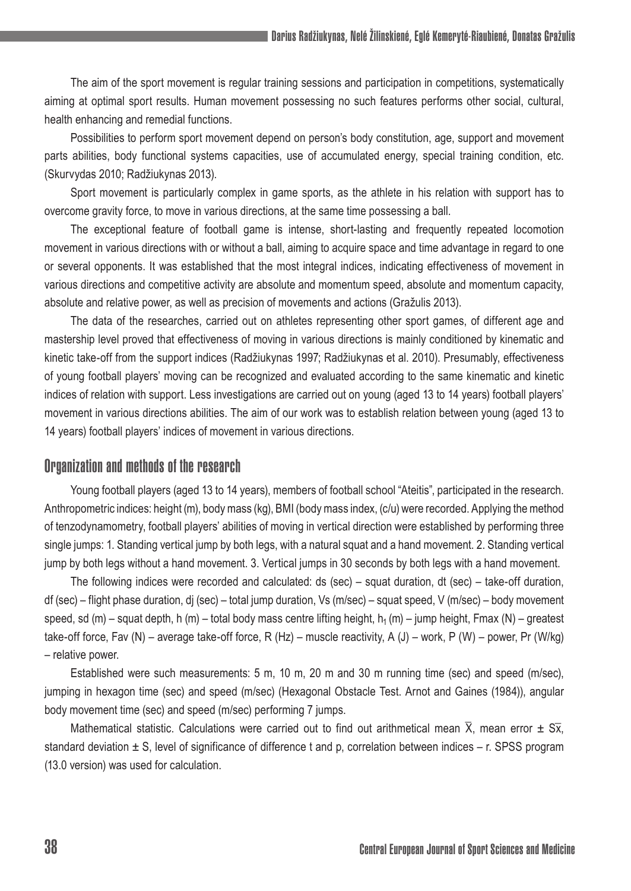The aim of the sport movement is regular training sessions and participation in competitions, systematically aiming at optimal sport results. Human movement possessing no such features performs other social, cultural, health enhancing and remedial functions.

Possibilities to perform sport movement depend on person's body constitution, age, support and movement parts abilities, body functional systems capacities, use of accumulated energy, special training condition, etc. (Skurvydas 2010; Radžiukynas 2013).

Sport movement is particularly complex in game sports, as the athlete in his relation with support has to overcome gravity force, to move in various directions, at the same time possessing a ball.

The exceptional feature of football game is intense, short-lasting and frequently repeated locomotion movement in various directions with or without a ball, aiming to acquire space and time advantage in regard to one or several opponents. It was established that the most integral indices, indicating effectiveness of movement in various directions and competitive activity are absolute and momentum speed, absolute and momentum capacity, absolute and relative power, as well as precision of movements and actions (Gražulis 2013).

The data of the researches, carried out on athletes representing other sport games, of different age and mastership level proved that effectiveness of moving in various directions is mainly conditioned by kinematic and kinetic take-off from the support indices (Radžiukynas 1997; Radžiukynas et al. 2010). Presumably, effectiveness of young football players' moving can be recognized and evaluated according to the same kinematic and kinetic indices of relation with support. Less investigations are carried out on young (aged 13 to 14 years) football players' movement in various directions abilities. The aim of our work was to establish relation between young (aged 13 to 14 years) football players' indices of movement in various directions.

# Organization and methods of the research

Young football players (aged 13 to 14 years), members of football school "Ateitis", participated in the research. Anthropometric indices: height (m), body mass (kg), BMI (body mass index, (c/u) were recorded. Applying the method of tenzodynamometry, football players' abilities of moving in vertical direction were established by performing three single jumps: 1. Standing vertical jump by both legs, with a natural squat and a hand movement. 2. Standing vertical jump by both legs without a hand movement. 3. Vertical jumps in 30 seconds by both legs with a hand movement.

The following indices were recorded and calculated: ds (sec) – squat duration, dt (sec) – take-off duration, df (sec) – flight phase duration, dj (sec) – total jump duration, Vs (m/sec) – squat speed, V (m/sec) – body movement speed, sd (m) – squat depth, h (m) – total body mass centre lifting height,  $h_1$  (m) – jump height, Fmax (N) – greatest take-off force, Fav (N) – average take-off force, R (Hz) – muscle reactivity, A (J) – work, P (W) – power, Pr (W/kg) – relative power.

Established were such measurements: 5 m, 10 m, 20 m and 30 m running time (sec) and speed (m/sec), jumping in hexagon time (sec) and speed (m/sec) (Hexagonal Obstacle Test. Arnot and Gaines (1984)), angular body movement time (sec) and speed (m/sec) performing 7 jumps.

Mathematical statistic. Calculations were carried out to find out arithmetical mean  $\overline{X}$ , mean error  $\pm$  S $\overline{X}$ , standard deviation  $\pm$  S, level of significance of difference t and p, correlation between indices – r. SPSS program (13.0 version) was used for calculation.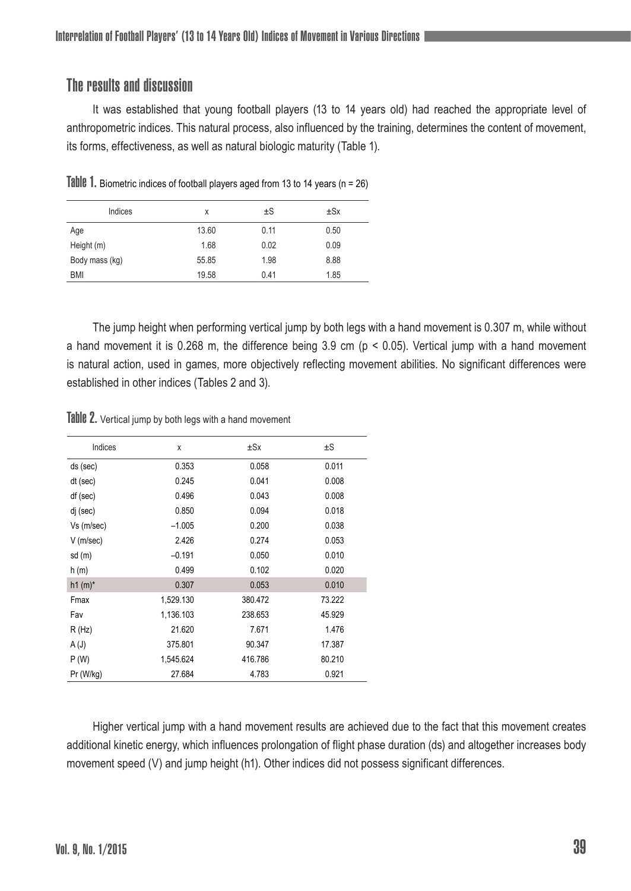# The results and discussion

It was established that young football players (13 to 14 years old) had reached the appropriate level of anthropometric indices. This natural process, also influenced by the training, determines the content of movement, its forms, effectiveness, as well as natural biologic maturity (Table 1).

Table 1. Biometric indices of football players aged from 13 to 14 years (n = 26)

| Indices        | x     | ±S   | $\pm$ Sx |
|----------------|-------|------|----------|
| Age            | 13.60 | 0.11 | 0.50     |
| Height (m)     | 1.68  | 0.02 | 0.09     |
| Body mass (kg) | 55.85 | 1.98 | 8.88     |
| <b>BMI</b>     | 19.58 | 0.41 | 1.85     |

The jump height when performing vertical jump by both legs with a hand movement is 0.307 m, while without a hand movement it is 0.268 m, the difference being 3.9 cm ( $p < 0.05$ ). Vertical jump with a hand movement is natural action, used in games, more objectively reflecting movement abilities. No significant differences were established in other indices (Tables 2 and 3).

Table 2. Vertical jump by both legs with a hand movement

| Indices     | Χ         | ±Sx     | $\pm$ S |
|-------------|-----------|---------|---------|
| ds (sec)    | 0.353     | 0.058   | 0.011   |
| dt (sec)    | 0.245     | 0.041   | 0.008   |
| df (sec)    | 0.496     | 0.043   | 0.008   |
| dj (sec)    | 0.850     | 0.094   | 0.018   |
| Vs (m/sec)  | $-1.005$  | 0.200   | 0.038   |
| $V$ (m/sec) | 2.426     | 0.274   | 0.053   |
| sd(m)       | $-0.191$  | 0.050   | 0.010   |
| h(m)        | 0.499     | 0.102   | 0.020   |
| $h1(m)^*$   | 0.307     | 0.053   | 0.010   |
| Fmax        | 1,529.130 | 380.472 | 73.222  |
| Fav         | 1,136.103 | 238.653 | 45.929  |
| R(Hz)       | 21.620    | 7.671   | 1.476   |
| A(J)        | 375.801   | 90.347  | 17.387  |
| P(W)        | 1,545.624 | 416.786 | 80.210  |
| Pr (W/kg)   | 27.684    | 4.783   | 0.921   |

Higher vertical jump with a hand movement results are achieved due to the fact that this movement creates additional kinetic energy, which influences prolongation of flight phase duration (ds) and altogether increases body movement speed (V) and jump height (h1). Other indices did not possess significant differences.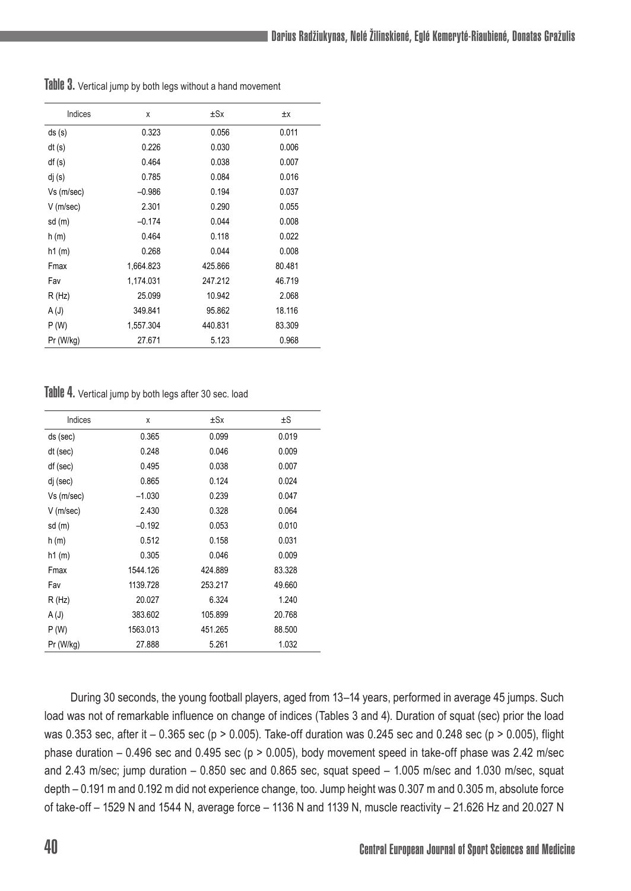| Indices     | X         | $\pm Sx$ | ±Χ     |
|-------------|-----------|----------|--------|
| ds(s)       | 0.323     | 0.056    | 0.011  |
| dt(s)       | 0.226     | 0.030    | 0.006  |
| df(s)       | 0.464     | 0.038    | 0.007  |
| dj(s)       | 0.785     | 0.084    | 0.016  |
| Vs (m/sec)  | $-0.986$  | 0.194    | 0.037  |
| $V$ (m/sec) | 2.301     | 0.290    | 0.055  |
| sd(m)       | $-0.174$  | 0.044    | 0.008  |
| h(m)        | 0.464     | 0.118    | 0.022  |
| h1(m)       | 0.268     | 0.044    | 0.008  |
| Fmax        | 1,664.823 | 425.866  | 80.481 |
| Fav         | 1,174.031 | 247.212  | 46.719 |
| R(Hz)       | 25.099    | 10.942   | 2.068  |
| A(J)        | 349.841   | 95.862   | 18.116 |
| P (W)       | 1,557.304 | 440.831  | 83.309 |
| Pr (W/kg)   | 27.671    | 5.123    | 0.968  |

Table 3. Vertical jump by both legs without a hand movement

#### Table 4. Vertical jump by both legs after 30 sec. load

| Indices     | X        | $\pm$ Sx | $\pm S$ |
|-------------|----------|----------|---------|
| ds (sec)    | 0.365    | 0.099    | 0.019   |
| dt (sec)    | 0.248    | 0.046    | 0.009   |
| df (sec)    | 0.495    | 0.038    | 0.007   |
| di (sec)    | 0.865    | 0.124    | 0.024   |
| Vs (m/sec)  | $-1.030$ | 0.239    | 0.047   |
| $V$ (m/sec) | 2.430    | 0.328    | 0.064   |
| sd(m)       | $-0.192$ | 0.053    | 0.010   |
| h(m)        | 0.512    | 0.158    | 0.031   |
| h1(m)       | 0.305    | 0.046    | 0.009   |
| Fmax        | 1544.126 | 424.889  | 83.328  |
| Fav         | 1139.728 | 253.217  | 49.660  |
| R(Hz)       | 20.027   | 6.324    | 1.240   |
| A(J)        | 383.602  | 105.899  | 20.768  |
| P (W)       | 1563.013 | 451.265  | 88.500  |
| Pr (W/kg)   | 27.888   | 5.261    | 1.032   |

During 30 seconds, the young football players, aged from 13–14 years, performed in average 45 jumps. Such load was not of remarkable influence on change of indices (Tables 3 and 4). Duration of squat (sec) prior the load was 0.353 sec, after it – 0.365 sec (p > 0.005). Take-off duration was 0.245 sec and 0.248 sec (p > 0.005), flight phase duration – 0.496 sec and 0.495 sec (p > 0.005), body movement speed in take-off phase was 2.42 m/sec and 2.43 m/sec; jump duration – 0.850 sec and 0.865 sec, squat speed – 1.005 m/sec and 1.030 m/sec, squat depth – 0.191 m and 0.192 m did not experience change, too. Jump height was 0.307 m and 0.305 m, absolute force of take-off – 1529 N and 1544 N, average force – 1136 N and 1139 N, muscle reactivity – 21.626 Hz and 20.027 N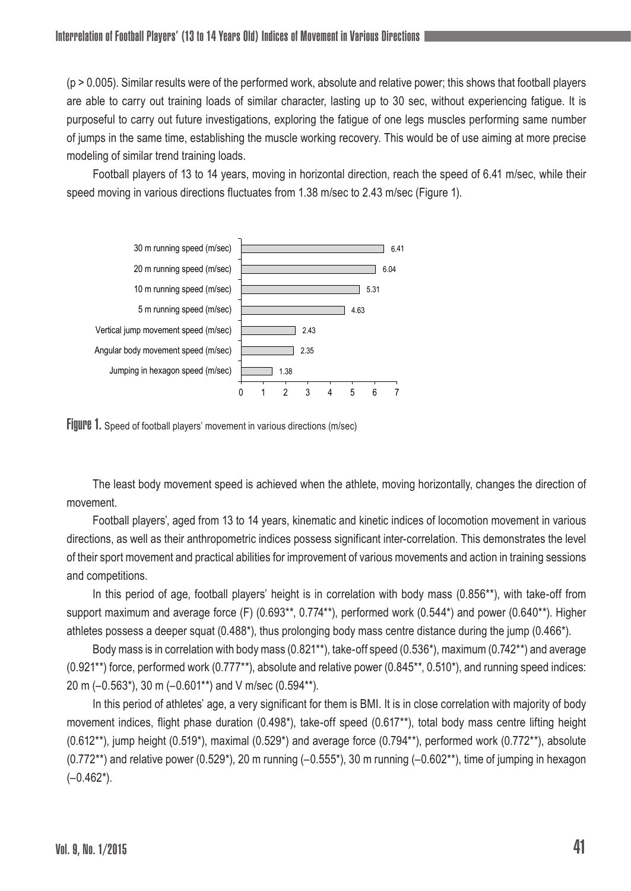$(p > 0.005)$ . Similar results were of the performed work, absolute and relative power; this shows that football players are able to carry out training loads of similar character, lasting up to 30 sec, without experiencing fatigue. It is purposeful to carry out future investigations, exploring the fatigue of one legs muscles performing same number of jumps in the same time, establishing the muscle working recovery. This would be of use aiming at more precise modeling of similar trend training loads.

Football players of 13 to 14 years, moving in horizontal direction, reach the speed of 6.41 m/sec, while their speed moving in various directions fluctuates from 1.38 m/sec to 2.43 m/sec (Figure 1).



Figure 1. Speed of football players' movement in various directions (m/sec)

The least body movement speed is achieved when the athlete, moving horizontally, changes the direction of movement.

Football players', aged from 13 to 14 years, kinematic and kinetic indices of locomotion movement in various directions, as well as their anthropometric indices possess significant inter-correlation. This demonstrates the level of their sport movement and practical abilities for improvement of various movements and action in training sessions and competitions.

In this period of age, football players' height is in correlation with body mass (0.856\*\*), with take-off from support maximum and average force (F) (0.693\*\*, 0.774\*\*), performed work (0.544\*) and power (0.640\*\*). Higher athletes possess a deeper squat (0.488\*), thus prolonging body mass centre distance during the jump (0.466\*).

Body mass is in correlation with body mass (0.821\*\*), take-off speed (0.536\*), maximum (0.742\*\*) and average  $(0.921^{**})$  force, performed work  $(0.777^{**})$ , absolute and relative power  $(0.845^{**}, 0.510^*)$ , and running speed indices: 20 m (–0.563\*), 30 m (–0.601\*\*) and V m/sec (0.594\*\*).

In this period of athletes' age, a very significant for them is BMI. It is in close correlation with majority of body movement indices, flight phase duration (0.498\*), take-off speed (0.617\*\*), total body mass centre lifting height (0.612\*\*), jump height (0.519\*), maximal (0.529\*) and average force (0.794\*\*), performed work (0.772\*\*), absolute  $(0.772**)$  and relative power  $(0.529*)$ , 20 m running  $(-0.555*)$ , 30 m running  $(-0.602**)$ , time of jumping in hexagon  $(-0.462^*)$ .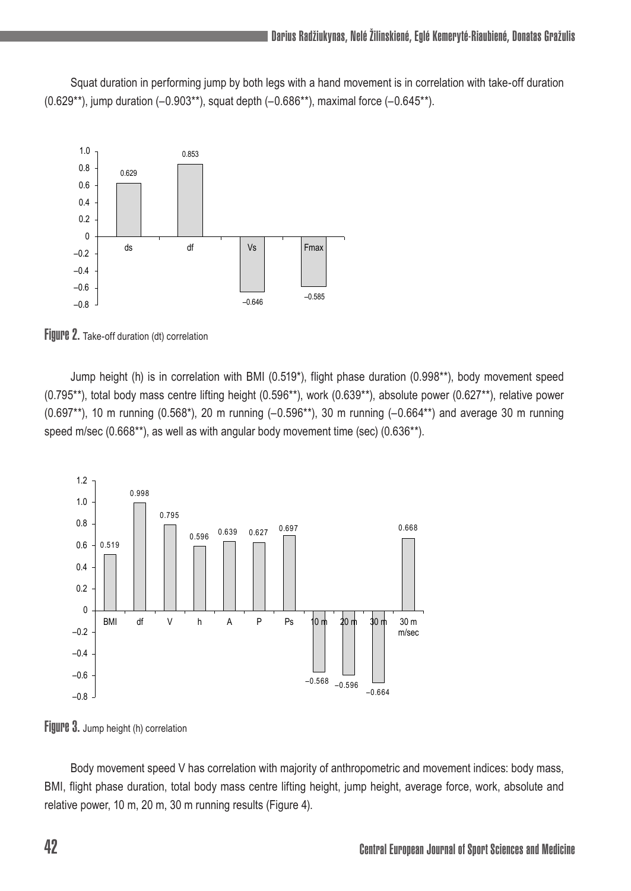Squat duration in performing jump by both legs with a hand movement is in correlation with take-off duration (0.629\*\*), jump duration (–0.903\*\*), squat depth (–0.686\*\*), maximal force (–0.645\*\*).



Figure 2. Take-off duration (dt) correlation

Jump height (h) is in correlation with BMI (0.519\*), flight phase duration (0.998\*\*), body movement speed  $(0.795**)$ , total body mass centre lifting height  $(0.596**)$ , work  $(0.639**)$ , absolute power  $(0.627**)$ , relative power (0.697\*\*), 10 m running (0.568\*), 20 m running (–0.596\*\*), 30 m running (–0.664\*\*) and average 30 m running speed m/sec (0.668\*\*), as well as with angular body movement time (sec) (0.636\*\*).



Figure 3. Jump height (h) correlation

Body movement speed V has correlation with majority of anthropometric and movement indices: body mass, BMI, flight phase duration, total body mass centre lifting height, jump height, average force, work, absolute and relative power, 10 m, 20 m, 30 m running results (Figure 4).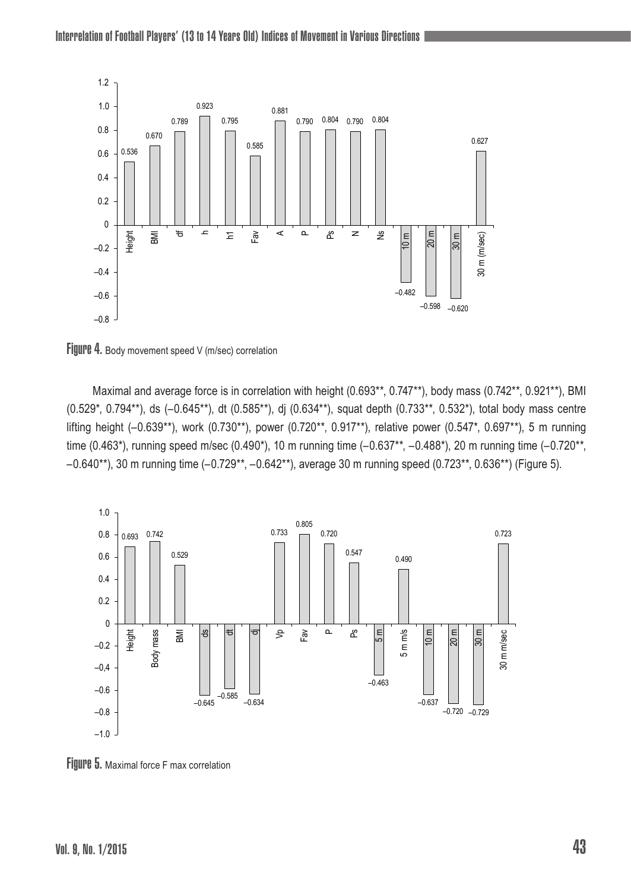

FIJUIPE 4. Body movement speed V (m/sec) correlation

Maximal and average force is in correlation with height (0.693\*\*, 0.747\*\*), body mass (0.742\*\*, 0.921\*\*), BMI (0.529\*, 0.794\*\*), ds (–0.645\*\*), dt (0.585\*\*), dj (0.634\*\*), squat depth (0.733\*\*, 0.532\*), total body mass centre lifting height (–0.639\*\*), work (0.730\*\*), power (0.720\*\*, 0.917\*\*), relative power (0.547\*, 0.697\*\*), 5 m running time (0.463\*), running speed m/sec (0.490\*), 10 m running time (–0.637\*\*, –0.488\*), 20 m running time (–0.720\*\*, –0.640\*\*), 30 m running time (–0.729\*\*, –0.642\*\*), average 30 m running speed (0.723\*\*, 0.636\*\*) (Figure 5).



Figure 5. Maximal force F max correlation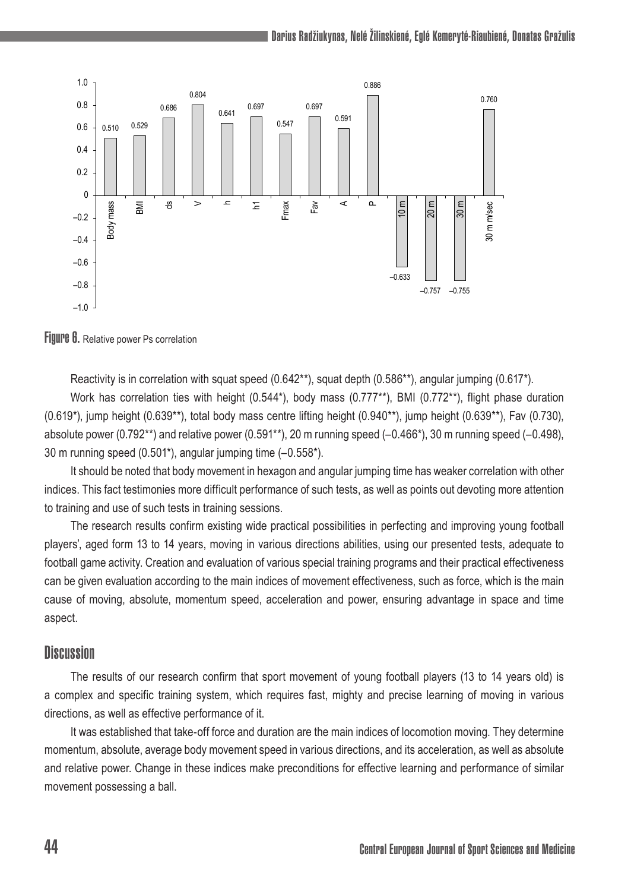

Figure 6. Relative power Ps correlation

Reactivity is in correlation with squat speed (0.642\*\*), squat depth (0.586\*\*), angular jumping (0.617\*).

Work has correlation ties with height (0.544\*), body mass (0.777\*\*), BMI (0.772\*\*), flight phase duration (0.619\*), jump height (0.639\*\*), total body mass centre lifting height (0.940\*\*), jump height (0.639\*\*), Fav (0.730), absolute power (0.792\*\*) and relative power (0.591\*\*), 20 m running speed (–0.466\*), 30 m running speed (–0.498), 30 m running speed (0.501\*), angular jumping time (–0.558\*).

It should be noted that body movement in hexagon and angular jumping time has weaker correlation with other indices. This fact testimonies more difficult performance of such tests, as well as points out devoting more attention to training and use of such tests in training sessions.

The research results confirm existing wide practical possibilities in perfecting and improving young football players', aged form 13 to 14 years, moving in various directions abilities, using our presented tests, adequate to football game activity. Creation and evaluation of various special training programs and their practical effectiveness can be given evaluation according to the main indices of movement effectiveness, such as force, which is the main cause of moving, absolute, momentum speed, acceleration and power, ensuring advantage in space and time aspect.

## **Discussion**

The results of our research confirm that sport movement of young football players (13 to 14 years old) is a complex and specific training system, which requires fast, mighty and precise learning of moving in various directions, as well as effective performance of it.

It was established that take-off force and duration are the main indices of locomotion moving. They determine momentum, absolute, average body movement speed in various directions, and its acceleration, as well as absolute and relative power. Change in these indices make preconditions for effective learning and performance of similar movement possessing a ball.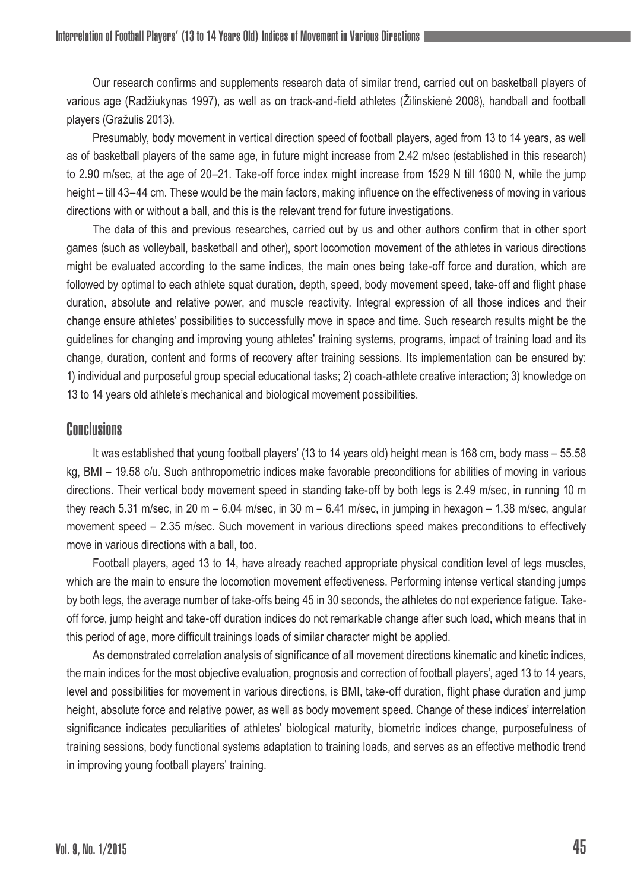Our research confirms and supplements research data of similar trend, carried out on basketball players of various age (Radžiukynas 1997), as well as on track-and-field athletes (Žilinskienė 2008), handball and football players (Gražulis 2013).

Presumably, body movement in vertical direction speed of football players, aged from 13 to 14 years, as well as of basketball players of the same age, in future might increase from 2.42 m/sec (established in this research) to 2.90 m/sec, at the age of 20–21. Take-off force index might increase from 1529 N till 1600 N, while the jump height – till 43–44 cm. These would be the main factors, making influence on the effectiveness of moving in various directions with or without a ball, and this is the relevant trend for future investigations.

The data of this and previous researches, carried out by us and other authors confirm that in other sport games (such as volleyball, basketball and other), sport locomotion movement of the athletes in various directions might be evaluated according to the same indices, the main ones being take-off force and duration, which are followed by optimal to each athlete squat duration, depth, speed, body movement speed, take-off and flight phase duration, absolute and relative power, and muscle reactivity. Integral expression of all those indices and their change ensure athletes' possibilities to successfully move in space and time. Such research results might be the guidelines for changing and improving young athletes' training systems, programs, impact of training load and its change, duration, content and forms of recovery after training sessions. Its implementation can be ensured by: 1) individual and purposeful group special educational tasks; 2) coach-athlete creative interaction; 3) knowledge on 13 to 14 years old athlete's mechanical and biological movement possibilities.

## **Conclusions**

It was established that young football players' (13 to 14 years old) height mean is 168 cm, body mass – 55.58 kg, BMI – 19.58 c/u. Such anthropometric indices make favorable preconditions for abilities of moving in various directions. Their vertical body movement speed in standing take-off by both legs is 2.49 m/sec, in running 10 m they reach 5.31 m/sec, in 20 m – 6.04 m/sec, in 30 m – 6.41 m/sec, in jumping in hexagon – 1.38 m/sec, angular movement speed – 2.35 m/sec. Such movement in various directions speed makes preconditions to effectively move in various directions with a ball, too.

Football players, aged 13 to 14, have already reached appropriate physical condition level of legs muscles, which are the main to ensure the locomotion movement effectiveness. Performing intense vertical standing jumps by both legs, the average number of take-offs being 45 in 30 seconds, the athletes do not experience fatigue. Takeoff force, jump height and take-off duration indices do not remarkable change after such load, which means that in this period of age, more difficult trainings loads of similar character might be applied.

As demonstrated correlation analysis of significance of all movement directions kinematic and kinetic indices, the main indices for the most objective evaluation, prognosis and correction of football players', aged 13 to 14 years, level and possibilities for movement in various directions, is BMI, take-off duration, flight phase duration and jump height, absolute force and relative power, as well as body movement speed. Change of these indices' interrelation significance indicates peculiarities of athletes' biological maturity, biometric indices change, purposefulness of training sessions, body functional systems adaptation to training loads, and serves as an effective methodic trend in improving young football players' training.